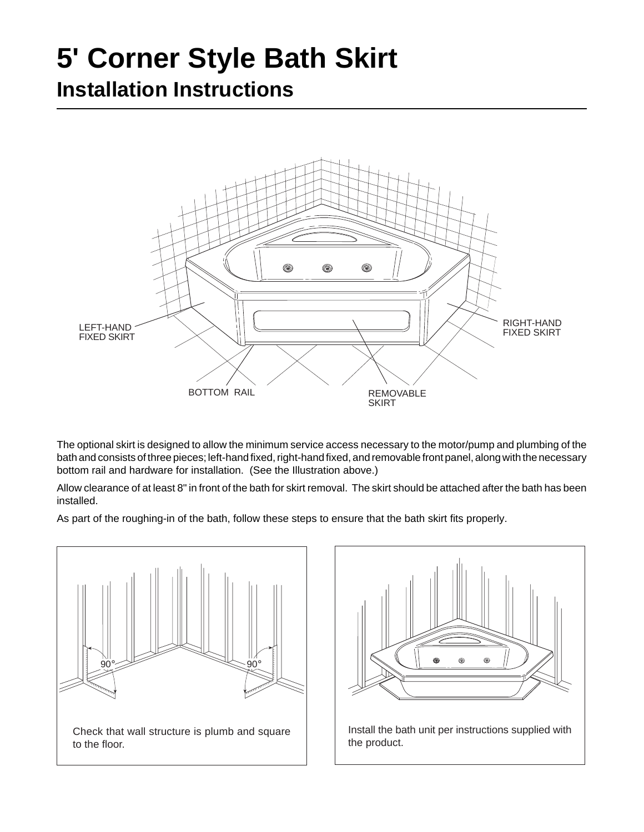## **5' Corner Style Bath Skirt**

## **Installation Instructions**



The optional skirt is designed to allow the minimum service access necessary to the motor/pump and plumbing of the bath and consists of three pieces; left-hand fixed, right-hand fixed, and removable front panel, along with the necessary bottom rail and hardware for installation. (See the Illustration above.)

Allow clearance of at least 8" in front of the bath for skirt removal. The skirt should be attached after the bath has been installed.

As part of the roughing-in of the bath, follow these steps to ensure that the bath skirt fits properly.





Install the bath unit per instructions supplied with the product.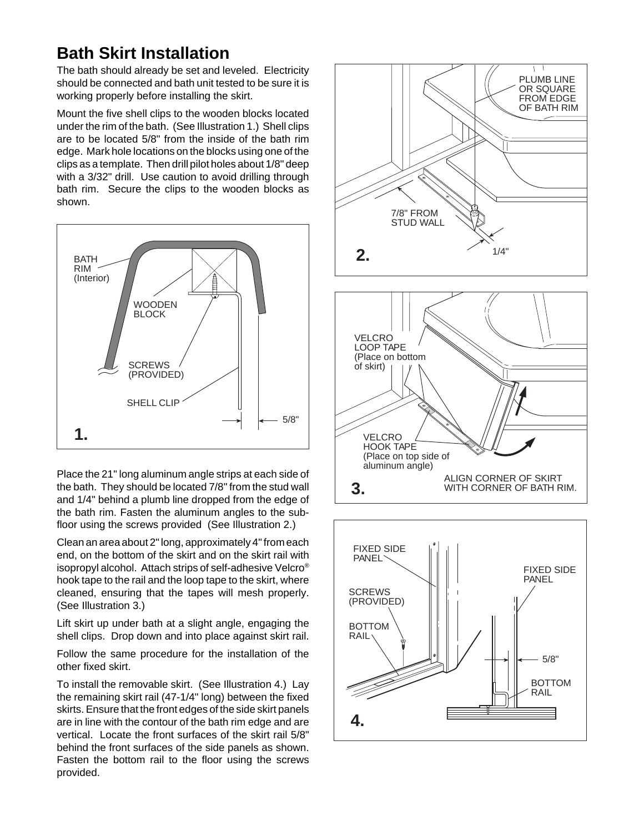## **Bath Skirt Installation**

The bath should already be set and leveled. Electricity should be connected and bath unit tested to be sure it is working properly before installing the skirt.

Mount the five shell clips to the wooden blocks located under the rim of the bath. (See Illustration 1.) Shell clips are to be located 5/8" from the inside of the bath rim edge. Mark hole locations on the blocks using one of the clips as a template. Then drill pilot holes about 1/8" deep with a 3/32" drill. Use caution to avoid drilling through bath rim. Secure the clips to the wooden blocks as shown.



Place the 21" long aluminum angle strips at each side of the bath. They should be located 7/8" from the stud wall and 1/4" behind a plumb line dropped from the edge of the bath rim. Fasten the aluminum angles to the subfloor using the screws provided (See Illustration 2.)

Clean an area about 2" long, approximately 4" from each end, on the bottom of the skirt and on the skirt rail with isopropyl alcohol. Attach strips of self-adhesive Velcro® hook tape to the rail and the loop tape to the skirt, where cleaned, ensuring that the tapes will mesh properly. (See Illustration 3.)

Lift skirt up under bath at a slight angle, engaging the shell clips. Drop down and into place against skirt rail.

Follow the same procedure for the installation of the other fixed skirt.

To install the removable skirt. (See Illustration 4.) Lay the remaining skirt rail (47-1/4" long) between the fixed skirts. Ensure that the front edges of the side skirt panels are in line with the contour of the bath rim edge and are vertical. Locate the front surfaces of the skirt rail 5/8" behind the front surfaces of the side panels as shown. Fasten the bottom rail to the floor using the screws provided.

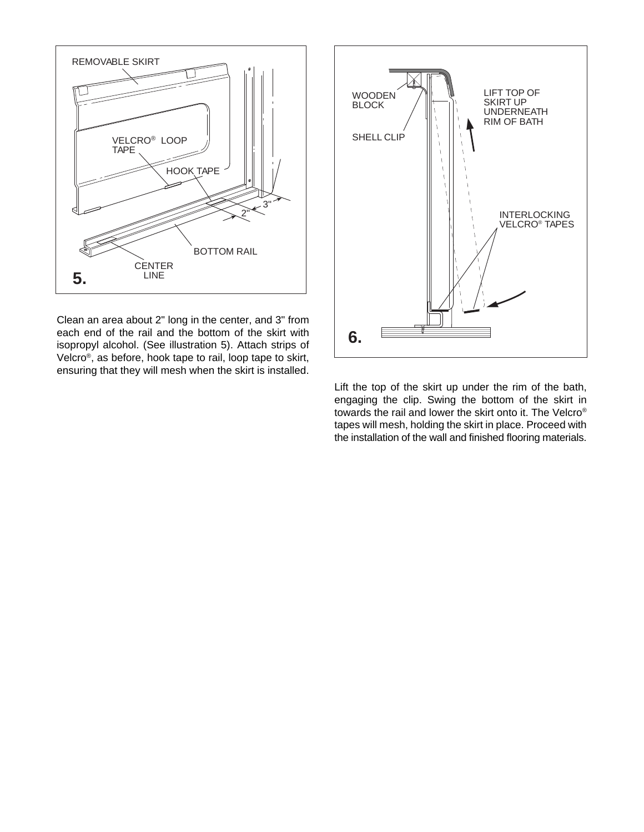

Clean an area about 2" long in the center, and 3" from each end of the rail and the bottom of the skirt with isopropyl alcohol. (See illustration 5). Attach strips of Velcro®, as before, hook tape to rail, loop tape to skirt, ensuring that they will mesh when the skirt is installed.

![](_page_2_Figure_2.jpeg)

Lift the top of the skirt up under the rim of the bath, engaging the clip. Swing the bottom of the skirt in towards the rail and lower the skirt onto it. The Velcro® tapes will mesh, holding the skirt in place. Proceed with the installation of the wall and finished flooring materials.